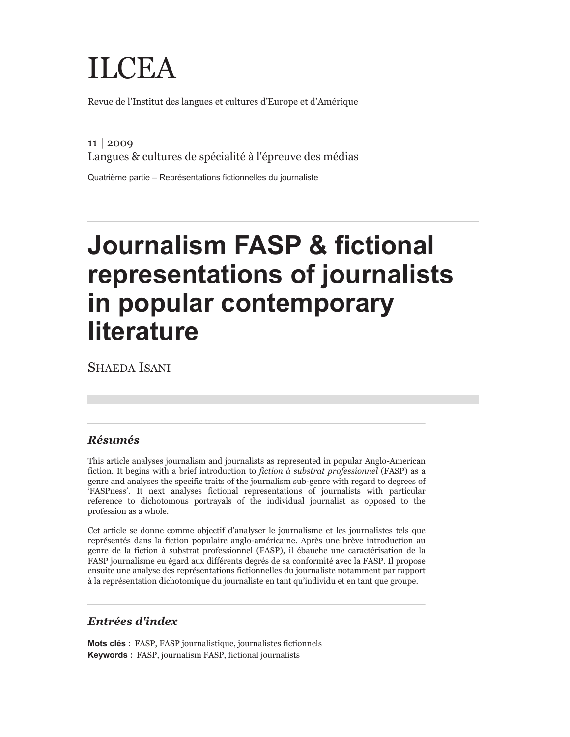# ILCEA

Revue de l'Institut des langues et cultures d'Europe et d'Amérique

11 | 2009 Langues & cultures de spécialité à l'épreuve des médias

Quatrième partie – Représentations fictionnelles du journaliste

# **Journalism FASP & fictional representations of journalists in popular contemporary literature**

SHAEDA ISANI

## *Résumés*

This article analyses journalism and journalists as represented in popular Anglo-American fiction. It begins with a brief introduction to *fiction à substrat professionnel* (FASP) as a genre and analyses the specific traits of the journalism sub-genre with regard to degrees of 'FASPness'. It next analyses fictional representations of journalists with particular reference to dichotomous portrayals of the individual journalist as opposed to the profession as a whole.

Cet article se donne comme objectif d'analyser le journalisme et les journalistes tels que représentés dans la fiction populaire anglo-américaine. Après une brève introduction au genre de la fiction à substrat professionnel (FASP), il ébauche une caractérisation de la FASP journalisme eu égard aux différents degrés de sa conformité avec la FASP. Il propose ensuite une analyse des représentations fictionnelles du journaliste notamment par rapport à la représentation dichotomique du journaliste en tant qu'individu et en tant que groupe.

## *Entrées d'index*

**Mots clés :** FASP, FASP journalistique, journalistes fictionnels **Keywords :** FASP, journalism FASP, fictional journalists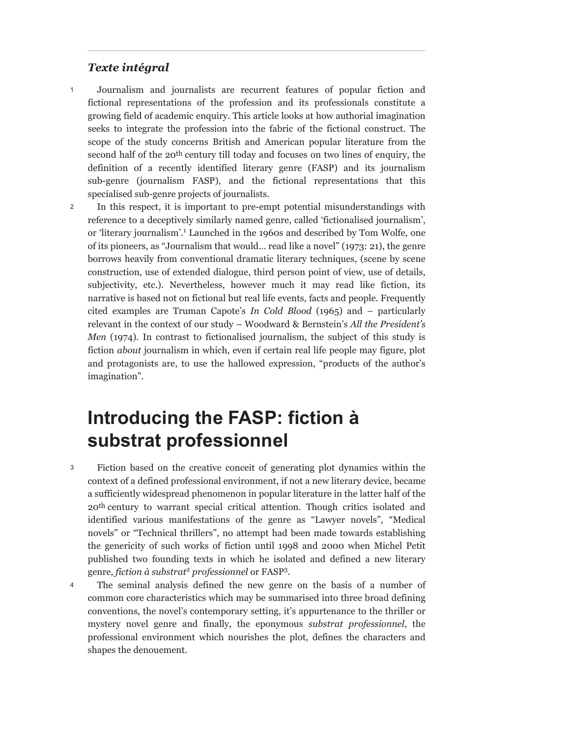#### *Texte intégral*

- Journalism and journalists are recurrent features of popular fiction and fictional representations of the profession and its professionals constitute a growing field of academic enquiry. This article looks at how authorial imagination seeks to integrate the profession into the fabric of the fictional construct. The scope of the study concerns British and American popular literature from the second half of the 20th century till today and focuses on two lines of enquiry, the definition of a recently identified literary genre (FASP) and its journalism sub-genre (journalism FASP), and the fictional representations that this specialised sub-genre projects of journalists. 1
- In this respect, it is important to pre-empt potential misunderstandings with reference to a deceptively similarly named genre, called 'fictionalised journalism', or 'literary journalism'.<sup>1</sup> Launched in the 1960s and described by Tom Wolfe, one of its pioneers, as "Journalism that would… read like a novel" (1973: 21), the genre borrows heavily from conventional dramatic literary techniques, (scene by scene construction, use of extended dialogue, third person point of view, use of details, subjectivity, etc.). Nevertheless, however much it may read like fiction, its narrative is based not on fictional but real life events, facts and people. Frequently cited examples are Truman Capote's *In Cold Blood* (1965) and – particularly relevant in the context of our study – Woodward & Bernstein's *All the President's Men* (1974). In contrast to fictionalised journalism, the subject of this study is fiction *about* journalism in which, even if certain real life people may figure, plot and protagonists are, to use the hallowed expression, "products of the author's imagination". 2

# **Introducing the FASP: fiction à substrat professionnel**

- Fiction based on the creative conceit of generating plot dynamics within the context of a defined professional environment, if not a new literary device, became a sufficiently widespread phenomenon in popular literature in the latter half of the 20th century to warrant special critical attention. Though critics isolated and identified various manifestations of the genre as "Lawyer novels", "Medical novels" or "Technical thrillers", no attempt had been made towards establishing the genericity of such works of fiction until 1998 and 2000 when Michel Petit published two founding texts in which he isolated and defined a new literary genre, *fiction à substrat*<sup>2</sup>  *professionnel* or FASP3 . 3
- The seminal analysis defined the new genre on the basis of a number of common core characteristics which may be summarised into three broad defining conventions, the novel's contemporary setting, it's appurtenance to the thriller or mystery novel genre and finally, the eponymous *substrat professionnel*, the professional environment which nourishes the plot, defines the characters and shapes the denouement. 4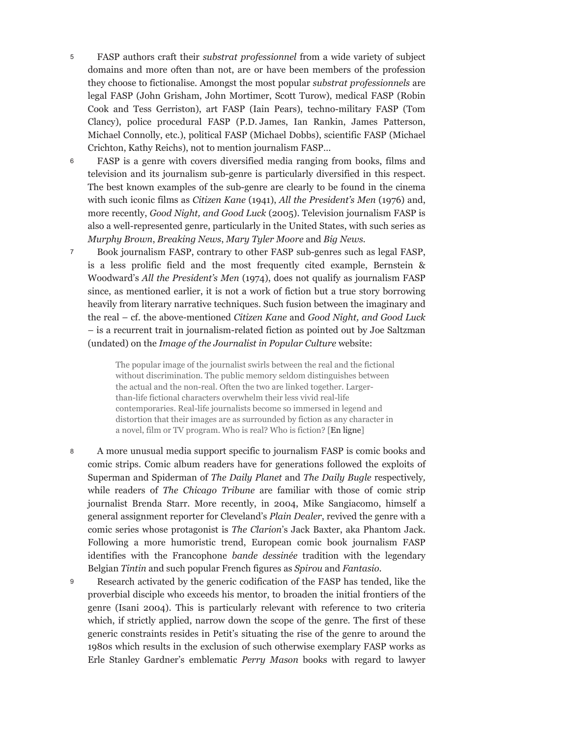- FASP authors craft their *substrat professionnel* from a wide variety of subject domains and more often than not, are or have been members of the profession they choose to fictionalise. Amongst the most popular *substrat professionnels* are legal FASP (John Grisham, John Mortimer, Scott Turow), medical FASP (Robin Cook and Tess Gerriston), art FASP (Iain Pears), techno-military FASP (Tom Clancy), police procedural FASP (P.D. James, Ian Rankin, James Patterson, Michael Connolly, etc.), political FASP (Michael Dobbs), scientific FASP (Michael Crichton, Kathy Reichs), not to mention journalism FASP… 5
- FASP is a genre with covers diversified media ranging from books, films and television and its journalism sub-genre is particularly diversified in this respect. The best known examples of the sub-genre are clearly to be found in the cinema with such iconic films as *Citizen Kane* (1941), *All the President's Men* (1976) and, more recently, *Good Night, and Good Luck* (2005). Television journalism FASP is also a well-represented genre, particularly in the United States, with such series as *Murphy Brown*, *Breaking News*, *Mary Tyler Moore* and *Big News.* 6
- Book journalism FASP, contrary to other FASP sub-genres such as legal FASP, is a less prolific field and the most frequently cited example, Bernstein & Woodward's *All the President's Men* (1974), does not qualify as journalism FASP since, as mentioned earlier, it is not a work of fiction but a true story borrowing heavily from literary narrative techniques. Such fusion between the imaginary and the real – cf. the above-mentioned *Citizen Kane* and *Good Night, and Good Luck* – is a recurrent trait in journalism-related fiction as pointed out by Joe Saltzman (undated) on the *Image of the Journalist in Popular Culture* website: 7

The popular image of the journalist swirls between the real and the fictional without discrimination. The public memory seldom distinguishes between the actual and the non-real. Often the two are linked together. Largerthan-life fictional characters overwhelm their less vivid real-life contemporaries. Real-life journalists become so immersed in legend and distortion that their images are as surrounded by fiction as any character in a novel, film or TV program. Who is real? Who is fiction? [En ligne]

- A more unusual media support specific to journalism FASP is comic books and comic strips. Comic album readers have for generations followed the exploits of Superman and Spiderman of *The Daily Planet* and *The Daily Bugle* respectively*,* while readers of *The Chicago Tribune* are familiar with those of comic strip journalist Brenda Starr. More recently, in 2004, Mike Sangiacomo, himself a general assignment reporter for Cleveland's *Plain Dealer*, revived the genre with a comic series whose protagonist is *The Clarion*'s Jack Baxter, aka Phantom Jack. Following a more humoristic trend, European comic book journalism FASP identifies with the Francophone *bande dessinée* tradition with the legendary Belgian *Tintin* and such popular French figures as *Spirou* and *Fantasio*. 8
- Research activated by the generic codification of the FASP has tended, like the proverbial disciple who exceeds his mentor, to broaden the initial frontiers of the genre (Isani 2004). This is particularly relevant with reference to two criteria which, if strictly applied, narrow down the scope of the genre. The first of these generic constraints resides in Petit's situating the rise of the genre to around the 1980s which results in the exclusion of such otherwise exemplary FASP works as Erle Stanley Gardner's emblematic *Perry Mason* books with regard to lawyer 9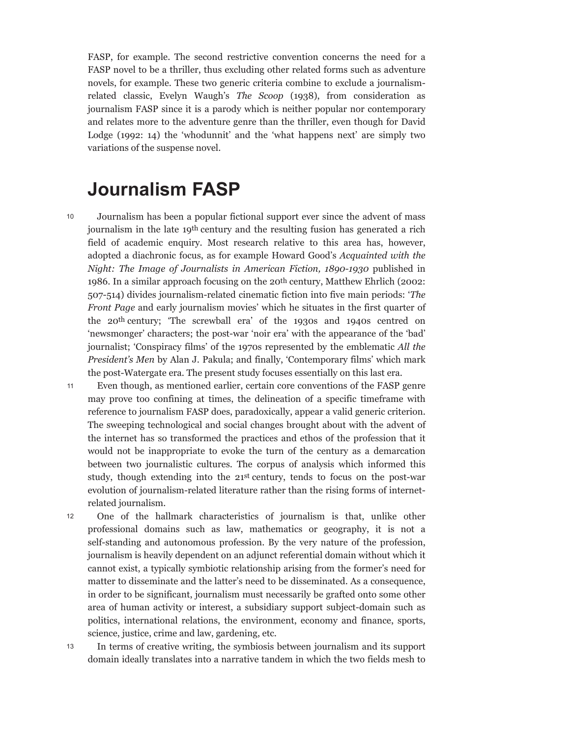FASP, for example. The second restrictive convention concerns the need for a FASP novel to be a thriller, thus excluding other related forms such as adventure novels, for example. These two generic criteria combine to exclude a journalismrelated classic, Evelyn Waugh's *The Scoop* (1938), from consideration as journalism FASP since it is a parody which is neither popular nor contemporary and relates more to the adventure genre than the thriller, even though for David Lodge (1992: 14) the 'whodunnit' and the 'what happens next' are simply two variations of the suspense novel.

# **Journalism FASP**

- Journalism has been a popular fictional support ever since the advent of mass journalism in the late 19th century and the resulting fusion has generated a rich field of academic enquiry. Most research relative to this area has, however, adopted a diachronic focus, as for example Howard Good's *Acquainted with the Night: The Image of Journalists in American Fiction, 1890-1930* published in 1986. In a similar approach focusing on the 20th century, Matthew Ehrlich (2002: 507-514) divides journalism-related cinematic fiction into five main periods: '*The Front Page* and early journalism movies' which he situates in the first quarter of the 20th century; 'The screwball era' of the 1930s and 1940s centred on 'newsmonger' characters; the post-war 'noir era' with the appearance of the 'bad' journalist; 'Conspiracy films' of the 1970s represented by the emblematic *All the President's Men* by Alan J. Pakula; and finally, 'Contemporary films' which mark the post-Watergate era. The present study focuses essentially on this last era. 10
- Even though, as mentioned earlier, certain core conventions of the FASP genre may prove too confining at times, the delineation of a specific timeframe with reference to journalism FASP does, paradoxically, appear a valid generic criterion. The sweeping technological and social changes brought about with the advent of the internet has so transformed the practices and ethos of the profession that it would not be inappropriate to evoke the turn of the century as a demarcation between two journalistic cultures. The corpus of analysis which informed this study, though extending into the 21st century, tends to focus on the post-war evolution of journalism-related literature rather than the rising forms of internetrelated journalism. 11
- One of the hallmark characteristics of journalism is that, unlike other professional domains such as law, mathematics or geography, it is not a self-standing and autonomous profession. By the very nature of the profession, journalism is heavily dependent on an adjunct referential domain without which it cannot exist, a typically symbiotic relationship arising from the former's need for matter to disseminate and the latter's need to be disseminated. As a consequence, in order to be significant, journalism must necessarily be grafted onto some other area of human activity or interest, a subsidiary support subject-domain such as politics, international relations, the environment, economy and finance, sports, science, justice, crime and law, gardening, etc. 12
- In terms of creative writing, the symbiosis between journalism and its support domain ideally translates into a narrative tandem in which the two fields mesh to 13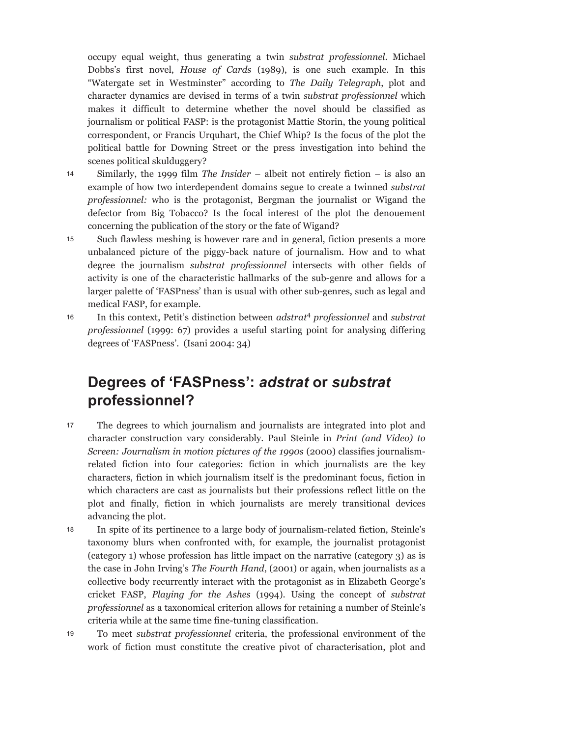occupy equal weight, thus generating a twin *substrat professionnel*. Michael Dobbs's first novel, *House of Cards* (1989), is one such example. In this "Watergate set in Westminster" according to *The Daily Telegraph*, plot and character dynamics are devised in terms of a twin *substrat professionnel* which makes it difficult to determine whether the novel should be classified as journalism or political FASP: is the protagonist Mattie Storin, the young political correspondent, or Francis Urquhart, the Chief Whip? Is the focus of the plot the political battle for Downing Street or the press investigation into behind the scenes political skulduggery?

- Similarly, the 1999 film *The Insider*  albeit not entirely fiction is also an example of how two interdependent domains segue to create a twinned *substrat professionnel:* who is the protagonist, Bergman the journalist or Wigand the defector from Big Tobacco? Is the focal interest of the plot the denouement concerning the publication of the story or the fate of Wigand? 14
- Such flawless meshing is however rare and in general, fiction presents a more unbalanced picture of the piggy-back nature of journalism. How and to what degree the journalism *substrat professionnel* intersects with other fields of activity is one of the characteristic hallmarks of the sub-genre and allows for a larger palette of 'FASPness' than is usual with other sub-genres, such as legal and medical FASP, for example. 15
- In this context, Petit's distinction between *adstrat*<sup>4</sup> *professionnel* and *substrat professionnel* (1999: 67) provides a useful starting point for analysing differing degrees of 'FASPness'. (Isani 2004: 34) 16

## **Degrees of 'FASPness':** *adstrat* **or** *substrat* **professionnel?**

- The degrees to which journalism and journalists are integrated into plot and character construction vary considerably. Paul Steinle in *Print (and Video) to Screen: Journalism in motion pictures of the 1990s* (2000) classifies journalismrelated fiction into four categories: fiction in which journalists are the key characters, fiction in which journalism itself is the predominant focus, fiction in which characters are cast as journalists but their professions reflect little on the plot and finally, fiction in which journalists are merely transitional devices advancing the plot. 17
- In spite of its pertinence to a large body of journalism-related fiction, Steinle's taxonomy blurs when confronted with, for example, the journalist protagonist (category 1) whose profession has little impact on the narrative (category 3) as is the case in John Irving's *The Fourth Hand*, (2001) or again, when journalists as a collective body recurrently interact with the protagonist as in Elizabeth George's cricket FASP, *Playing for the Ashes* (1994). Using the concept of *substrat professionnel* as a taxonomical criterion allows for retaining a number of Steinle's criteria while at the same time fine-tuning classification. 18
- To meet *substrat professionnel* criteria, the professional environment of the work of fiction must constitute the creative pivot of characterisation, plot and 19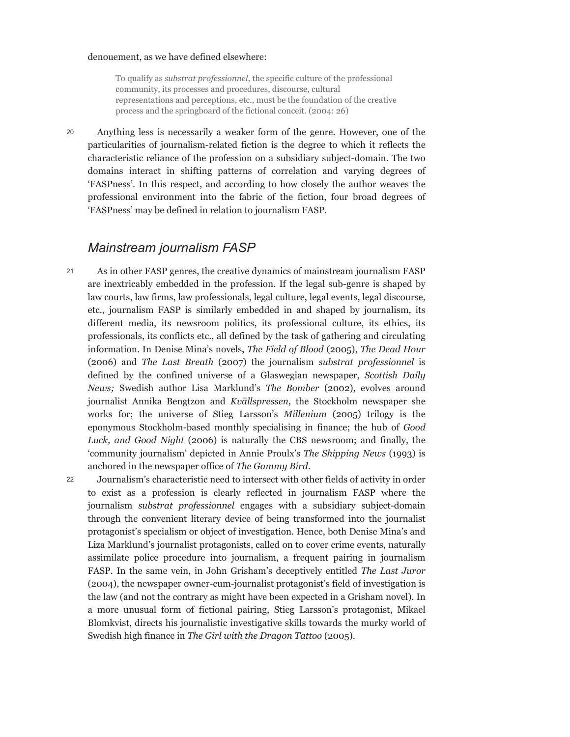#### denouement, as we have defined elsewhere:

To qualify as *substrat professionnel*, the specific culture of the professional community, its processes and procedures, discourse, cultural representations and perceptions, etc., must be the foundation of the creative process and the springboard of the fictional conceit. (2004: 26)

Anything less is necessarily a weaker form of the genre. However, one of the particularities of journalism-related fiction is the degree to which it reflects the characteristic reliance of the profession on a subsidiary subject-domain. The two domains interact in shifting patterns of correlation and varying degrees of 'FASPness'. In this respect, and according to how closely the author weaves the professional environment into the fabric of the fiction, four broad degrees of 'FASPness' may be defined in relation to journalism FASP. 20

## *Mainstream journalism FASP*

- As in other FASP genres, the creative dynamics of mainstream journalism FASP are inextricably embedded in the profession. If the legal sub-genre is shaped by law courts, law firms, law professionals, legal culture, legal events, legal discourse, etc., journalism FASP is similarly embedded in and shaped by journalism, its different media, its newsroom politics, its professional culture, its ethics, its professionals, its conflicts etc., all defined by the task of gathering and circulating information. In Denise Mina's novels, *The Field of Blood* (2005), *The Dead Hour* (2006) and *The Last Breath* (2007) the journalism *substrat professionnel* is defined by the confined universe of a Glaswegian newspaper, *Scottish Daily News;* Swedish author Lisa Marklund's *The Bomber* (2002), evolves around journalist Annika Bengtzon and *Kvällspressen*, the Stockholm newspaper she works for; the universe of Stieg Larsson's *Millenium* (2005) trilogy is the eponymous Stockholm-based monthly specialising in finance; the hub of *Good Luck, and Good Night* (2006) is naturally the CBS newsroom; and finally, the 'community journalism' depicted in Annie Proulx's *The Shipping News* (1993) is anchored in the newspaper office of *The Gammy Bird*. 21
- Journalism's characteristic need to intersect with other fields of activity in order to exist as a profession is clearly reflected in journalism FASP where the journalism *substrat professionnel* engages with a subsidiary subject-domain through the convenient literary device of being transformed into the journalist protagonist's specialism or object of investigation. Hence, both Denise Mina's and Liza Marklund's journalist protagonists, called on to cover crime events, naturally assimilate police procedure into journalism, a frequent pairing in journalism FASP. In the same vein, in John Grisham's deceptively entitled *The Last Juror* (2004), the newspaper owner-cum-journalist protagonist's field of investigation is the law (and not the contrary as might have been expected in a Grisham novel). In a more unusual form of fictional pairing, Stieg Larsson's protagonist, Mikael Blomkvist, directs his journalistic investigative skills towards the murky world of Swedish high finance in *The Girl with the Dragon Tattoo* (2005). 22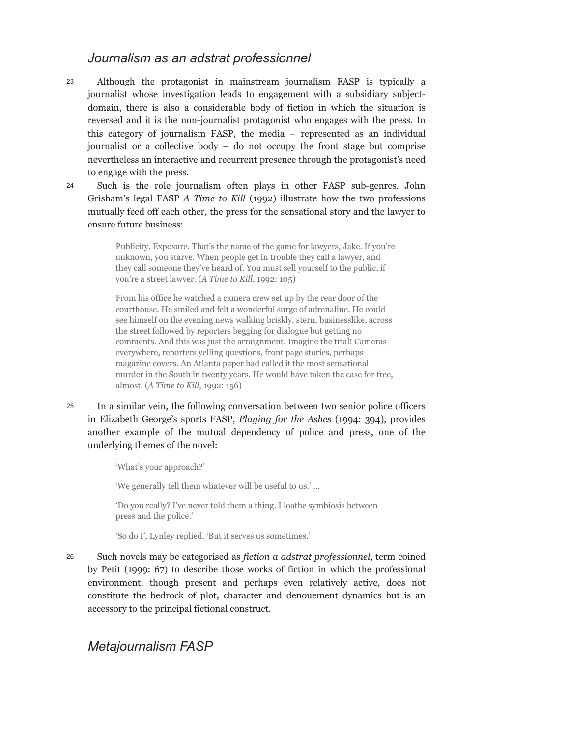## *Journalism as an adstrat professionnel*

- Although the protagonist in mainstream journalism FASP is typically a journalist whose investigation leads to engagement with a subsidiary subjectdomain, there is also a considerable body of fiction in which the situation is reversed and it is the non-journalist protagonist who engages with the press. In this category of journalism FASP, the media – represented as an individual journalist or a collective body – do not occupy the front stage but comprise nevertheless an interactive and recurrent presence through the protagonist's need to engage with the press. 23
- Such is the role journalism often plays in other FASP sub-genres. John Grisham's legal FASP *A Time to Kill* (1992) illustrate how the two professions mutually feed off each other, the press for the sensational story and the lawyer to ensure future business:  $24$

Publicity. Exposure. That's the name of the game for lawyers, Jake. If you're unknown, you starve. When people get in trouble they call a lawyer, and they call someone they've heard of. You must sell yourself to the public, if you're a street lawyer. (*A Time to Kill*, 1992: 105)

From his office he watched a camera crew set up by the rear door of the courthouse. He smiled and felt a wonderful surge of adrenaline. He could see himself on the evening news walking briskly, stern, businesslike, across the street followed by reporters begging for dialogue but getting no comments. And this was just the arraignment. Imagine the trial! Cameras everywhere, reporters yelling questions, front page stories, perhaps magazine covers. An Atlanta paper had called it the most sensational murder in the South in twenty years. He would have taken the case for free, almost. (*A Time to Kill*, 1992: 156)

In a similar vein, the following conversation between two senior police officers in Elizabeth George's sports FASP, *Playing for the Ashes* (1994: 394), provides another example of the mutual dependency of police and press, one of the underlying themes of the novel: 25

'What's your approach?'

'We generally tell them whatever will be useful to us.' …

'Do you really? I've never told them a thing. I loathe symbiosis between press and the police.'

'So do I', Lynley replied. 'But it serves us sometimes.'

Such novels may be categorised as *fiction a adstrat professionnel*, term coined by Petit (1999: 67) to describe those works of fiction in which the professional environment, though present and perhaps even relatively active, does not constitute the bedrock of plot, character and denouement dynamics but is an accessory to the principal fictional construct. 26

## *Metajournalism FASP*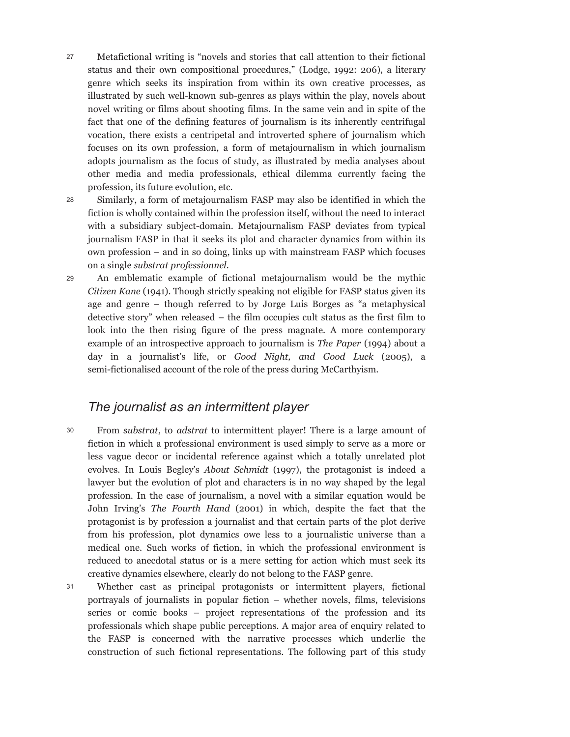- Metafictional writing is "novels and stories that call attention to their fictional status and their own compositional procedures," (Lodge, 1992: 206), a literary genre which seeks its inspiration from within its own creative processes, as illustrated by such well-known sub-genres as plays within the play, novels about novel writing or films about shooting films. In the same vein and in spite of the fact that one of the defining features of journalism is its inherently centrifugal vocation, there exists a centripetal and introverted sphere of journalism which focuses on its own profession, a form of metajournalism in which journalism adopts journalism as the focus of study, as illustrated by media analyses about other media and media professionals, ethical dilemma currently facing the profession, its future evolution, etc. 27
- Similarly, a form of metajournalism FASP may also be identified in which the fiction is wholly contained within the profession itself, without the need to interact with a subsidiary subject-domain. Metajournalism FASP deviates from typical journalism FASP in that it seeks its plot and character dynamics from within its own profession – and in so doing, links up with mainstream FASP which focuses on a single *substrat professionnel.* 28
- An emblematic example of fictional metajournalism would be the mythic *Citizen Kane* (1941). Though strictly speaking not eligible for FASP status given its age and genre – though referred to by Jorge Luis Borges as "a metaphysical detective story" when released – the film occupies cult status as the first film to look into the then rising figure of the press magnate. A more contemporary example of an introspective approach to journalism is *The Paper* (1994) about a day in a journalist's life, or *Good Night, and Good Luck* (2005), a semi-fictionalised account of the role of the press during McCarthyism. 29

## *The journalist as an intermittent player*

- From *substrat*, to *adstrat* to intermittent player! There is a large amount of fiction in which a professional environment is used simply to serve as a more or less vague decor or incidental reference against which a totally unrelated plot evolves. In Louis Begley's *About Schmidt* (1997), the protagonist is indeed a lawyer but the evolution of plot and characters is in no way shaped by the legal profession. In the case of journalism, a novel with a similar equation would be John Irving's *The Fourth Hand* (2001) in which, despite the fact that the protagonist is by profession a journalist and that certain parts of the plot derive from his profession, plot dynamics owe less to a journalistic universe than a medical one. Such works of fiction, in which the professional environment is reduced to anecdotal status or is a mere setting for action which must seek its creative dynamics elsewhere, clearly do not belong to the FASP genre. 30
- Whether cast as principal protagonists or intermittent players, fictional portrayals of journalists in popular fiction – whether novels, films, televisions series or comic books – project representations of the profession and its professionals which shape public perceptions. A major area of enquiry related to the FASP is concerned with the narrative processes which underlie the construction of such fictional representations. The following part of this study 31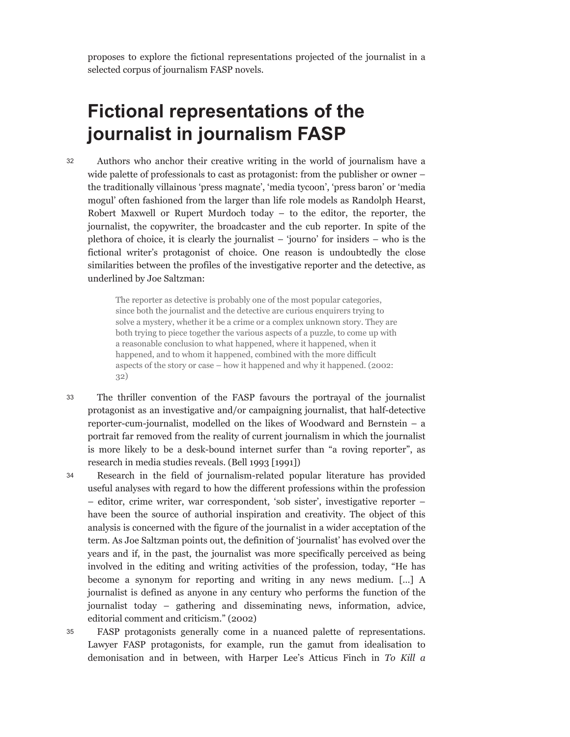proposes to explore the fictional representations projected of the journalist in a selected corpus of journalism FASP novels.

# **Fictional representations of the journalist in journalism FASP**

Authors who anchor their creative writing in the world of journalism have a wide palette of professionals to cast as protagonist: from the publisher or owner – the traditionally villainous 'press magnate', 'media tycoon', 'press baron' or 'media mogul' often fashioned from the larger than life role models as Randolph Hearst, Robert Maxwell or Rupert Murdoch today – to the editor, the reporter, the journalist, the copywriter, the broadcaster and the cub reporter. In spite of the plethora of choice, it is clearly the journalist – 'journo' for insiders – who is the fictional writer's protagonist of choice. One reason is undoubtedly the close similarities between the profiles of the investigative reporter and the detective, as underlined by Joe Saltzman: 32

> The reporter as detective is probably one of the most popular categories, since both the journalist and the detective are curious enquirers trying to solve a mystery, whether it be a crime or a complex unknown story. They are both trying to piece together the various aspects of a puzzle, to come up with a reasonable conclusion to what happened, where it happened, when it happened, and to whom it happened, combined with the more difficult aspects of the story or case – how it happened and why it happened. (2002: 32)

- The thriller convention of the FASP favours the portrayal of the journalist protagonist as an investigative and/or campaigning journalist, that half-detective reporter-cum-journalist, modelled on the likes of Woodward and Bernstein – a portrait far removed from the reality of current journalism in which the journalist is more likely to be a desk-bound internet surfer than "a roving reporter", as research in media studies reveals. (Bell 1993 [1991]) 33
- Research in the field of journalism-related popular literature has provided useful analyses with regard to how the different professions within the profession – editor, crime writer, war correspondent, 'sob sister', investigative reporter – have been the source of authorial inspiration and creativity. The object of this analysis is concerned with the figure of the journalist in a wider acceptation of the term. As Joe Saltzman points out, the definition of 'journalist' has evolved over the years and if, in the past, the journalist was more specifically perceived as being involved in the editing and writing activities of the profession, today, "He has become a synonym for reporting and writing in any news medium. […] A journalist is defined as anyone in any century who performs the function of the journalist today – gathering and disseminating news, information, advice, editorial comment and criticism." (2002) 34
- FASP protagonists generally come in a nuanced palette of representations. Lawyer FASP protagonists, for example, run the gamut from idealisation to demonisation and in between, with Harper Lee's Atticus Finch in *To Kill a* 35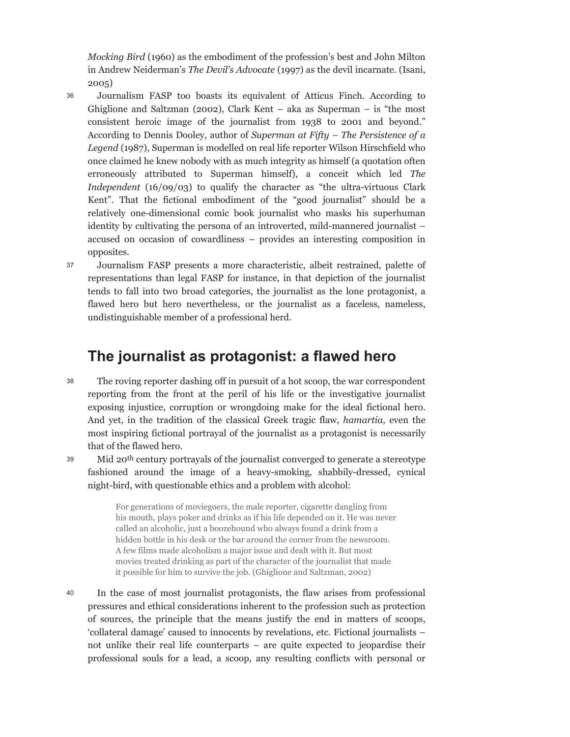*Mocking Bird* (1960) as the embodiment of the profession's best and John Milton in Andrew Neiderman's *The Devil's Advocate* (1997) as the devil incarnate. (Isani, 2005)

- Journalism FASP too boasts its equivalent of Atticus Finch. According to Ghiglione and Saltzman (2002), Clark Kent – aka as Superman – is "the most consistent heroic image of the journalist from 1938 to 2001 and beyond." According to Dennis Dooley, author of *Superman at Fifty – The Persistence of a Legend* (1987), Superman is modelled on real life reporter Wilson Hirschfield who once claimed he knew nobody with as much integrity as himself (a quotation often erroneously attributed to Superman himself), a conceit which led *The Independent* (16/09/03) to qualify the character as "the ultra-virtuous Clark Kent". That the fictional embodiment of the "good journalist" should be a relatively one-dimensional comic book journalist who masks his superhuman identity by cultivating the persona of an introverted, mild-mannered journalist – accused on occasion of cowardliness – provides an interesting composition in opposites. 36
- Journalism FASP presents a more characteristic, albeit restrained, palette of representations than legal FASP for instance, in that depiction of the journalist tends to fall into two broad categories, the journalist as the lone protagonist, a flawed hero but hero nevertheless, or the journalist as a faceless, nameless, undistinguishable member of a professional herd. 37

## **The journalist as protagonist: a flawed hero**

- The roving reporter dashing off in pursuit of a hot scoop, the war correspondent reporting from the front at the peril of his life or the investigative journalist exposing injustice, corruption or wrongdoing make for the ideal fictional hero. And yet, in the tradition of the classical Greek tragic flaw, *hamartia*, even the most inspiring fictional portrayal of the journalist as a protagonist is necessarily that of the flawed hero. 38
- Mid 20th century portrayals of the journalist converged to generate a stereotype fashioned around the image of a heavy-smoking, shabbily-dressed, cynical night-bird, with questionable ethics and a problem with alcohol:

For generations of moviegoers, the male reporter, cigarette dangling from his mouth, plays poker and drinks as if his life depended on it. He was never called an alcoholic, just a boozehound who always found a drink from a hidden bottle in his desk or the bar around the corner from the newsroom. A few films made alcoholism a major issue and dealt with it. But most movies treated drinking as part of the character of the journalist that made it possible for him to survive the job. (Ghiglione and Saltzman, 2002)

In the case of most journalist protagonists, the flaw arises from professional pressures and ethical considerations inherent to the profession such as protection of sources, the principle that the means justify the end in matters of scoops, 'collateral damage' caused to innocents by revelations, etc. Fictional journalists – not unlike their real life counterparts – are quite expected to jeopardise their professional souls for a lead, a scoop, any resulting conflicts with personal or 40

39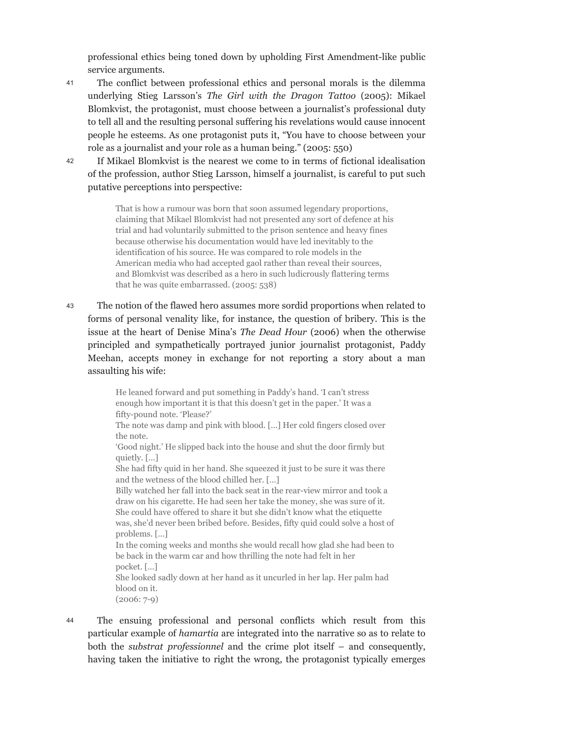professional ethics being toned down by upholding First Amendment-like public service arguments.

- The conflict between professional ethics and personal morals is the dilemma underlying Stieg Larsson's *The Girl with the Dragon Tattoo* (2005): Mikael Blomkvist, the protagonist, must choose between a journalist's professional duty to tell all and the resulting personal suffering his revelations would cause innocent people he esteems. As one protagonist puts it, "You have to choose between your role as a journalist and your role as a human being." (2005: 550) 41
- If Mikael Blomkvist is the nearest we come to in terms of fictional idealisation of the profession, author Stieg Larsson, himself a journalist, is careful to put such putative perceptions into perspective: 42

That is how a rumour was born that soon assumed legendary proportions, claiming that Mikael Blomkvist had not presented any sort of defence at his trial and had voluntarily submitted to the prison sentence and heavy fines because otherwise his documentation would have led inevitably to the identification of his source. He was compared to role models in the American media who had accepted gaol rather than reveal their sources, and Blomkvist was described as a hero in such ludicrously flattering terms that he was quite embarrassed. (2005: 538)

The notion of the flawed hero assumes more sordid proportions when related to forms of personal venality like, for instance, the question of bribery. This is the issue at the heart of Denise Mina's *The Dead Hour* (2006) when the otherwise principled and sympathetically portrayed junior journalist protagonist, Paddy Meehan, accepts money in exchange for not reporting a story about a man assaulting his wife: 43

> He leaned forward and put something in Paddy's hand. 'I can't stress enough how important it is that this doesn't get in the paper.' It was a fifty-pound note. 'Please?' The note was damp and pink with blood. […] Her cold fingers closed over the note. 'Good night.' He slipped back into the house and shut the door firmly but quietly. […] She had fifty quid in her hand. She squeezed it just to be sure it was there and the wetness of the blood chilled her. […] Billy watched her fall into the back seat in the rear-view mirror and took a draw on his cigarette. He had seen her take the money, she was sure of it. She could have offered to share it but she didn't know what the etiquette was, she'd never been bribed before. Besides, fifty quid could solve a host of problems. […] In the coming weeks and months she would recall how glad she had been to be back in the warm car and how thrilling the note had felt in her pocket. […] She looked sadly down at her hand as it uncurled in her lap. Her palm had blood on it. (2006: 7-9)

The ensuing professional and personal conflicts which result from this particular example of *hamartia* are integrated into the narrative so as to relate to both the *substrat professionnel* and the crime plot itself – and consequently, having taken the initiative to right the wrong, the protagonist typically emerges 44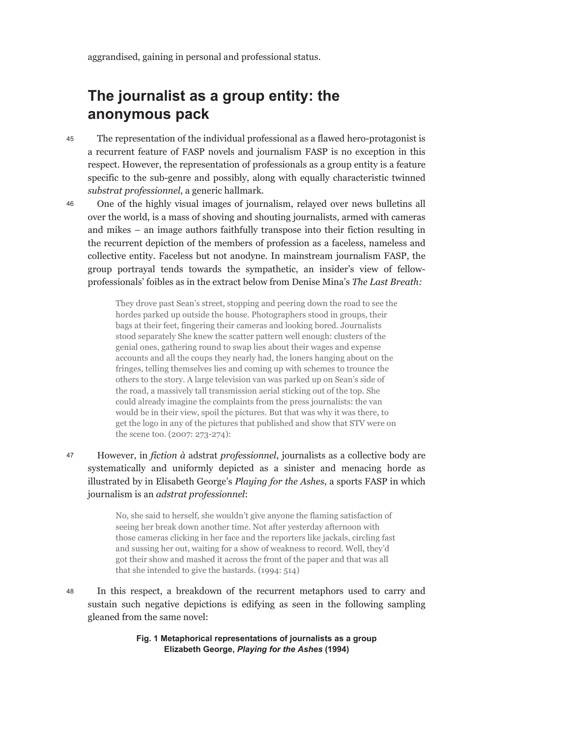aggrandised, gaining in personal and professional status.

## **The journalist as a group entity: the anonymous pack**

- The representation of the individual professional as a flawed hero-protagonist is a recurrent feature of FASP novels and journalism FASP is no exception in this respect. However, the representation of professionals as a group entity is a feature specific to the sub-genre and possibly, along with equally characteristic twinned *substrat professionnel*, a generic hallmark. 45
- One of the highly visual images of journalism, relayed over news bulletins all over the world, is a mass of shoving and shouting journalists, armed with cameras and mikes – an image authors faithfully transpose into their fiction resulting in the recurrent depiction of the members of profession as a faceless, nameless and collective entity. Faceless but not anodyne. In mainstream journalism FASP, the group portrayal tends towards the sympathetic, an insider's view of fellowprofessionals' foibles as in the extract below from Denise Mina's *The Last Breath:* 46

They drove past Sean's street, stopping and peering down the road to see the hordes parked up outside the house. Photographers stood in groups, their bags at their feet, fingering their cameras and looking bored. Journalists stood separately She knew the scatter pattern well enough: clusters of the genial ones, gathering round to swap lies about their wages and expense accounts and all the coups they nearly had, the loners hanging about on the fringes, telling themselves lies and coming up with schemes to trounce the others to the story. A large television van was parked up on Sean's side of the road, a massively tall transmission aerial sticking out of the top. She could already imagine the complaints from the press journalists: the van would be in their view, spoil the pictures. But that was why it was there, to get the logo in any of the pictures that published and show that STV were on the scene too. (2007: 273-274):

However, in *fiction à* adstrat *professionnel*, journalists as a collective body are systematically and uniformly depicted as a sinister and menacing horde as illustrated by in Elisabeth George's *Playing for the Ashes*, a sports FASP in which journalism is an *adstrat professionnel*: 47

> No, she said to herself, she wouldn't give anyone the flaming satisfaction of seeing her break down another time. Not after yesterday afternoon with those cameras clicking in her face and the reporters like jackals, circling fast and sussing her out, waiting for a show of weakness to record. Well, they'd got their show and mashed it across the front of the paper and that was all that she intended to give the bastards. (1994: 514)

In this respect, a breakdown of the recurrent metaphors used to carry and sustain such negative depictions is edifying as seen in the following sampling gleaned from the same novel: 48

> **Fig. 1 Metaphorical representations of journalists as a group Elizabeth George,** *Playing for the Ashes* **(1994)**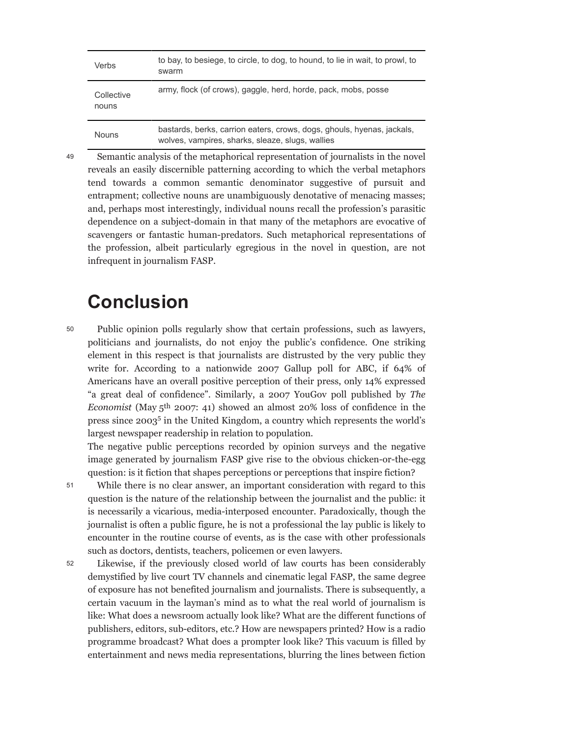| Verbs               | to bay, to besiege, to circle, to dog, to hound, to lie in wait, to prowl, to<br>swarm                                     |
|---------------------|----------------------------------------------------------------------------------------------------------------------------|
| Collective<br>nouns | army, flock (of crows), gaggle, herd, horde, pack, mobs, posse                                                             |
| <b>Nouns</b>        | bastards, berks, carrion eaters, crows, dogs, ghouls, hyenas, jackals,<br>wolves, vampires, sharks, sleaze, slugs, wallies |

49

Semantic analysis of the metaphorical representation of journalists in the novel reveals an easily discernible patterning according to which the verbal metaphors tend towards a common semantic denominator suggestive of pursuit and entrapment; collective nouns are unambiguously denotative of menacing masses; and, perhaps most interestingly, individual nouns recall the profession's parasitic dependence on a subject-domain in that many of the metaphors are evocative of scavengers or fantastic human-predators. Such metaphorical representations of the profession, albeit particularly egregious in the novel in question, are not infrequent in journalism FASP.

# **Conclusion**

Public opinion polls regularly show that certain professions, such as lawyers, politicians and journalists, do not enjoy the public's confidence. One striking element in this respect is that journalists are distrusted by the very public they write for. According to a nationwide 2007 Gallup poll for ABC, if 64% of Americans have an overall positive perception of their press, only 14% expressed "a great deal of confidence". Similarly, a 2007 YouGov poll published by *The Economist* (May 5th 2007: 41) showed an almost 20% loss of confidence in the press since 2003<sup>5</sup> in the United Kingdom, a country which represents the world's largest newspaper readership in relation to population. 50

The negative public perceptions recorded by opinion surveys and the negative image generated by journalism FASP give rise to the obvious chicken-or-the-egg question: is it fiction that shapes perceptions or perceptions that inspire fiction?

While there is no clear answer, an important consideration with regard to this question is the nature of the relationship between the journalist and the public: it is necessarily a vicarious, media-interposed encounter. Paradoxically, though the journalist is often a public figure, he is not a professional the lay public is likely to encounter in the routine course of events, as is the case with other professionals such as doctors, dentists, teachers, policemen or even lawyers. 51

Likewise, if the previously closed world of law courts has been considerably demystified by live court TV channels and cinematic legal FASP, the same degree of exposure has not benefited journalism and journalists. There is subsequently, a certain vacuum in the layman's mind as to what the real world of journalism is like: What does a newsroom actually look like? What are the different functions of publishers, editors, sub-editors, etc.? How are newspapers printed? How is a radio programme broadcast? What does a prompter look like? This vacuum is filled by entertainment and news media representations, blurring the lines between fiction 52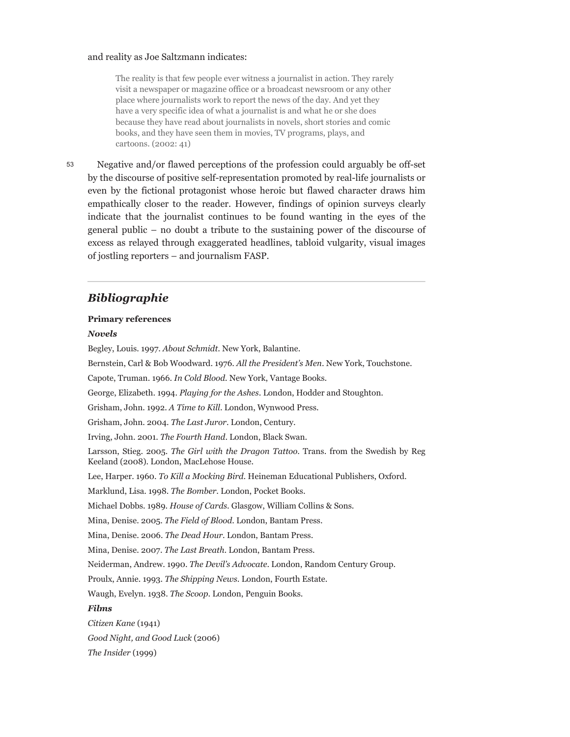#### and reality as Joe Saltzmann indicates:

The reality is that few people ever witness a journalist in action. They rarely visit a newspaper or magazine office or a broadcast newsroom or any other place where journalists work to report the news of the day. And yet they have a very specific idea of what a journalist is and what he or she does because they have read about journalists in novels, short stories and comic books, and they have seen them in movies, TV programs, plays, and cartoons. (2002: 41)

Negative and/or flawed perceptions of the profession could arguably be off-set by the discourse of positive self-representation promoted by real-life journalists or even by the fictional protagonist whose heroic but flawed character draws him empathically closer to the reader. However, findings of opinion surveys clearly indicate that the journalist continues to be found wanting in the eyes of the general public – no doubt a tribute to the sustaining power of the discourse of excess as relayed through exaggerated headlines, tabloid vulgarity, visual images of jostling reporters – and journalism FASP.

#### *Bibliographie*

#### **Primary references**

#### *Novels*

53

Begley, Louis. 1997. *About Schmidt*. New York, Balantine. Bernstein, Carl & Bob Woodward. 1976. *All the President's Men*. New York, Touchstone. Capote, Truman. 1966. *In Cold Blood.* New York, Vantage Books. George, Elizabeth. 1994. *Playing for the Ashes*. London, Hodder and Stoughton. Grisham, John. 1992. *A Time to Kill*. London, Wynwood Press. Grisham, John. 2004. *The Last Juror*. London, Century. Irving, John. 2001. *The Fourth Hand*. London, Black Swan. Larsson, Stieg. 2005. *The Girl with the Dragon Tattoo*. Trans. from the Swedish by Reg Keeland (2008). London, MacLehose House. Lee, Harper. 1960. *To Kill a Mocking Bird*. Heineman Educational Publishers, Oxford. Marklund, Lisa. 1998. *The Bomber*. London, Pocket Books. Michael Dobbs. 1989. *House of Cards*. Glasgow, William Collins & Sons. Mina, Denise. 2005. *The Field of Blood*. London, Bantam Press. Mina, Denise. 2006. *The Dead Hour*. London, Bantam Press. Mina, Denise. 2007. *The Last Breath*. London, Bantam Press. Neiderman, Andrew. 1990. *The Devil's Advocate*. London, Random Century Group. Proulx, Annie. 1993. *The Shipping News*. London, Fourth Estate. Waugh, Evelyn. 1938. *The Scoop*. London, Penguin Books. *Films Citizen Kane* (1941) *Good Night, and Good Luck* (2006) *The Insider* (1999)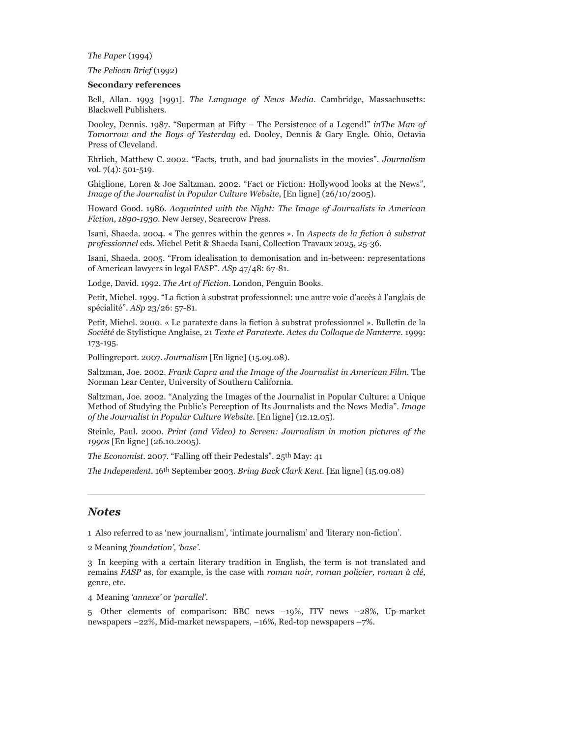*The Paper* (1994)

*The Pelican Brief* (1992)

#### **Secondary references**

Bell, Allan. 1993 [1991]. *The Language of News Media*. Cambridge, Massachusetts: Blackwell Publishers.

Dooley, Dennis. 1987. "Superman at Fifty – The Persistence of a Legend!" *inThe Man of Tomorrow and the Boys of Yesterday* ed. Dooley, Dennis & Gary Engle. Ohio, Octavia Press of Cleveland.

Ehrlich, Matthew C. 2002. "Facts, truth, and bad journalists in the movies". *Journalism* vol. 7(4): 501-519.

Ghiglione, Loren & Joe Saltzman. 2002. "Fact or Fiction: Hollywood looks at the News", *Image of the Journalist in Popular Culture Website*, [En ligne] (26/10/2005).

Howard Good. 1986. *Acquainted with the Night: The Image of Journalists in American Fiction, 1890-1930.* New Jersey, Scarecrow Press.

Isani, Shaeda. 2004. « The genres within the genres ». In *Aspects de la fiction à substrat professionnel* eds. Michel Petit & Shaeda Isani, Collection Travaux 2025, 25-36.

Isani, Shaeda. 2005. "From idealisation to demonisation and in-between: representations of American lawyers in legal FASP". *ASp* 47/48: 67-81.

Lodge, David. 1992. *The Art of Fiction*. London, Penguin Books.

Petit, Michel. 1999. "La fiction à substrat professionnel: une autre voie d'accès à l'anglais de spécialité". *ASp* 23/26: 57-81.

Petit, Michel. 2000. « Le paratexte dans la fiction à substrat professionnel ». Bulletin de la *Société* de Stylistique Anglaise, 21 *Texte et Paratexte. Actes du Colloque de Nanterre*. 1999: 173-195.

Pollingreport. 2007. *Journalism* [En ligne] (15.09.08).

Saltzman, Joe. 2002. *Frank Capra and the Image of the Journalist in American Film.* The Norman Lear Center, University of Southern California.

Saltzman, Joe. 2002. "Analyzing the Images of the Journalist in Popular Culture: a Unique Method of Studying the Public's Perception of Its Journalists and the News Media". *Image of the Journalist in Popular Culture Website.* [En ligne] (12.12.05).

Steinle, Paul. 2000. *Print (and Video) to Screen: Journalism in motion pictures of the 1990s* [En ligne] (26.10.2005).

*The Economist*. 2007. "Falling off their Pedestals". 25th May: 41

*The Independent*. 16th September 2003. *Bring Back Clark Kent.* [En ligne] (15.09.08)

#### *Notes*

1 Also referred to as 'new journalism', 'intimate journalism' and 'literary non-fiction'.

2 Meaning *'foundation', 'base'.*

3 In keeping with a certain literary tradition in English, the term is not translated and remains *FASP* as, for example, is the case with *roman noir, roman policier, roman à clé*, genre, etc.

4 Meaning *'annexe'* or *'parallel'.*

5 Other elements of comparison: BBC news –19%, ITV news –28%, Up-market newspapers –22%, Mid-market newspapers, –16%, Red-top newspapers –7%.